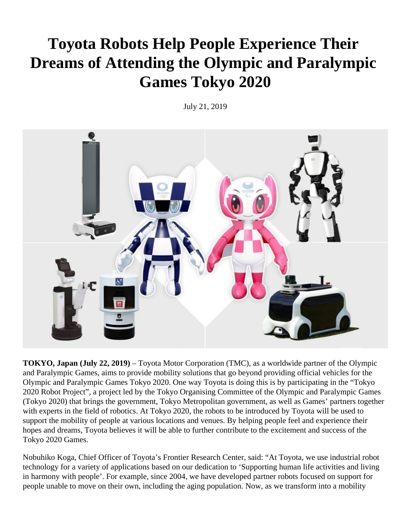## **Toyota Robots Help People Experience Their Dreams of Attending the Olympic and Paralympic Games Tokyo 2020**

July 21, 2019



**TOKYO, Japan (July 22, 2019)** – Toyota Motor Corporation (TMC), as a worldwide partner of the Olympic and Paralympic Games, aims to provide mobility solutions that go beyond providing official vehicles for the Olympic and Paralympic Games Tokyo 2020. One way Toyota is doing this is by participating in the "Tokyo 2020 Robot Project", a project led by the Tokyo Organising Committee of the Olympic and Paralympic Games (Tokyo 2020) that brings the government, Tokyo Metropolitan government, as well as Games' partners together with experts in the field of robotics. At Tokyo 2020, the robots to be introduced by Toyota will be used to support the mobility of people at various locations and venues. By helping people feel and experience their hopes and dreams, Toyota believes it will be able to further contribute to the excitement and success of the Tokyo 2020 Games.

Nobuhiko Koga, Chief Officer of Toyota's Frontier Research Center, said: "At Toyota, we use industrial robot technology for a variety of applications based on our dedication to 'Supporting human life activities and living in harmony with people'. For example, since 2004, we have developed partner robots focused on support for people unable to move on their own, including the aging population. Now, as we transform into a mobility